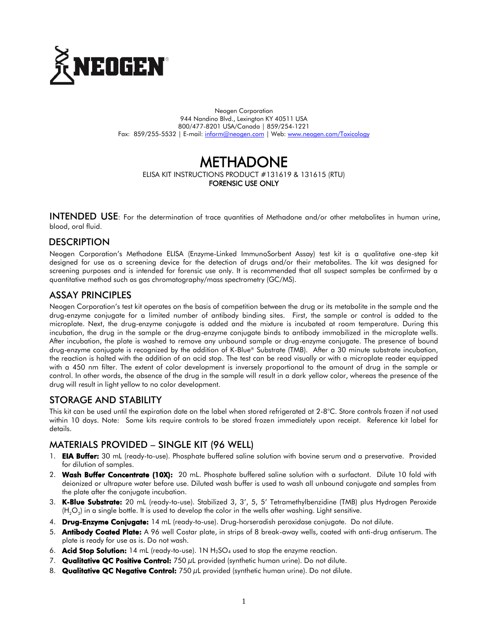

Neogen Corporation 944 Nandino Blvd., Lexington KY 40511 USA 800/477-8201 USA/Canada | 859/254-1221 Fax: 859/255-5532 | E-mail: [inform@neogen.com](mailto:inform@neogen.com) | Web: [www.neogen.com/Toxicology](http://www.neogen.com/Toxicology)

# METHADONE ELISA KIT INSTRUCTIONS PRODUCT #131619 & 131615 (RTU) FORENSIC USE ONLY

INTENDED USE: For the determination of trace quantities of Methadone and/or other metabolites in human urine, blood, oral fluid.

### **DESCRIPTION**

Neogen Corporation's Methadone ELISA (Enzyme-Linked ImmunoSorbent Assay) test kit is a qualitative one-step kit designed for use as a screening device for the detection of drugs and/or their metabolites. The kit was designed for screening purposes and is intended for forensic use only. It is recommended that all suspect samples be confirmed by a quantitative method such as gas chromatography/mass spectrometry (GC/MS).

#### ASSAY PRINCIPLES

Neogen Corporation's test kit operates on the basis of competition between the drug or its metabolite in the sample and the drug-enzyme conjugate for a limited number of antibody binding sites. First, the sample or control is added to the microplate. Next, the drug-enzyme conjugate is added and the mixture is incubated at room temperature. During this incubation, the drug in the sample or the drug-enzyme conjugate binds to antibody immobilized in the microplate wells. After incubation, the plate is washed to remove any unbound sample or drug-enzyme conjugate. The presence of bound drug-enzyme conjugate is recognized by the addition of K-Blue® Substrate (TMB). After a 30 minute substrate incubation, the reaction is halted with the addition of an acid stop. The test can be read visually or with a microplate reader equipped with a 450 nm filter. The extent of color development is inversely proportional to the amount of drug in the sample or control. In other words, the absence of the drug in the sample will result in a dark yellow color, whereas the presence of the drug will result in light yellow to no color development.

#### STORAGE AND STABILITY

This kit can be used until the expiration date on the label when stored refrigerated at 2-8°C. Store controls frozen if not used within 10 days. Note: Some kits require controls to be stored frozen immediately upon receipt. Reference kit label for details.

### MATERIALS PROVIDED – SINGLE KIT (96 WELL)

- 1. EIA Buffer: 30 mL (ready-to-use). Phosphate buffered saline solution with bovine serum and a preservative. Provided for dilution of samples.
- 2. Wash Buffer Concentrate (10X): 20 mL. Phosphate buffered saline solution with a surfactant. Dilute 10 fold with deionized or ultrapure water before use. Diluted wash buffer is used to wash all unbound conjugate and samples from the plate after the conjugate incubation.
- 3. K-Blue Substrate: 20 mL (ready-to-use). Stabilized 3, 3', 5, 5' Tetramethylbenzidine (TMB) plus Hydrogen Peroxide (H<sub>2</sub>O<sub>2</sub>) in a single bottle. It is used to develop the color in the wells after washing. Light sensitive.
- 4. Drug-Enzyme Conjugate: 14 mL (ready-to-use). Drug-horseradish peroxidase conjugate. Do not dilute.
- 5. Antibody Coated Plate: A 96 well Costar plate, in strips of 8 break-away wells, coated with anti-drug antiserum. The plate is ready for use as is. Do not wash.
- 6. **Acid Stop Solution:** 14 mL (ready-to-use). 1N  $H_2SO_4$  used to stop the enzyme reaction.
- 7. Qualitative QC Positive Control:  $750 \mu L$  provided (synthetic human urine). Do not dilute.
- 8. Qualitative QC Negative Control:  $750 \mu L$  provided (synthetic human urine). Do not dilute.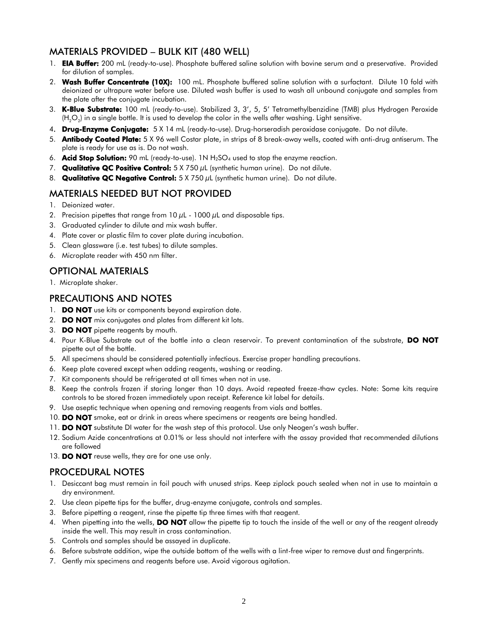### MATERIALS PROVIDED – BULK KIT (480 WELL)

- 1. **EIA Buffer:** 200 mL (ready-to-use). Phosphate buffered saline solution with bovine serum and a preservative. Provided for dilution of samples.
- 2. Wash Buffer Concentrate (10X): 100 mL. Phosphate buffered saline solution with a surfactant. Dilute 10 fold with deionized or ultrapure water before use. Diluted wash buffer is used to wash all unbound conjugate and samples from the plate after the conjugate incubation.
- 3. K-Blue Substrate: 100 mL (ready-to-use). Stabilized 3, 3', 5, 5' Tetramethylbenzidine (TMB) plus Hydrogen Peroxide (H $_{2}$ O $_{2}$ ) in a single bottle. It is used to develop the color in the wells after washing. Light sensitive.
- 4. Drug-Enzyme Conjugate: 5 X 14 mL (ready-to-use). Drug-horseradish peroxidase conjugate. Do not dilute.
- 5. Antibody Coated Plate: 5 X 96 well Costar plate, in strips of 8 break-away wells, coated with anti-drug antiserum. The plate is ready for use as is. Do not wash.
- 6. **Acid Stop Solution:** 90 mL (ready-to-use). 1N  $H_2SO_4$  used to stop the enzyme reaction.
- 7. Qualitative QC Positive Control: 5 X 750 µL (synthetic human urine). Do not dilute.
- 8. Qualitative QC Negative Control:  $5 \times 750 \mu L$  (synthetic human urine). Do not dilute.

## MATERIALS NEEDED BUT NOT PROVIDED

- 1. Deionized water.
- 2. Precision pipettes that range from  $10 \mu$ L  $1000 \mu$ L and disposable tips.
- 3. Graduated cylinder to dilute and mix wash buffer.
- 4. Plate cover or plastic film to cover plate during incubation.
- 5. Clean glassware (i.e. test tubes) to dilute samples.
- 6. Microplate reader with 450 nm filter.

# OPTIONAL MATERIALS

1. Microplate shaker.

## PRECAUTIONS AND NOTES

- 1. **DO NOT** use kits or components beyond expiration date.
- 2. **DO NOT** mix conjugates and plates from different kit lots.
- 3. **DO NOT** pipette reagents by mouth.
- 4. Pour K-Blue Substrate out of the bottle into a clean reservoir. To prevent contamination of the substrate, DO NOT pipette out of the bottle.
- 5. All specimens should be considered potentially infectious. Exercise proper handling precautions.
- 6. Keep plate covered except when adding reagents, washing or reading.
- 7. Kit components should be refrigerated at all times when not in use.
- 8. Keep the controls frozen if storing longer than 10 days. Avoid repeated freeze-thaw cycles. Note: Some kits require controls to be stored frozen immediately upon receipt. Reference kit label for details.
- 9. Use aseptic technique when opening and removing reagents from vials and bottles.
- 10. DO NOT smoke, eat or drink in areas where specimens or reagents are being handled.
- 11. **DO NOT** substitute DI water for the wash step of this protocol. Use only Neogen's wash buffer.
- 12. Sodium Azide concentrations at 0.01% or less should not interfere with the assay provided that recommended dilutions are followed
- 13. DO NOT reuse wells, they are for one use only.

### PROCEDURAL NOTES

- 1. Desiccant bag must remain in foil pouch with unused strips. Keep ziplock pouch sealed when not in use to maintain a dry environment.
- 2. Use clean pipette tips for the buffer, drug-enzyme conjugate, controls and samples.
- 3. Before pipetting a reagent, rinse the pipette tip three times with that reagent.
- 4. When pipetting into the wells, **DO NOT** allow the pipette tip to touch the inside of the well or any of the reagent already inside the well. This may result in cross contamination.
- 5. Controls and samples should be assayed in duplicate.
- 6. Before substrate addition, wipe the outside bottom of the wells with a lint-free wiper to remove dust and fingerprints.
- 7. Gently mix specimens and reagents before use. Avoid vigorous agitation.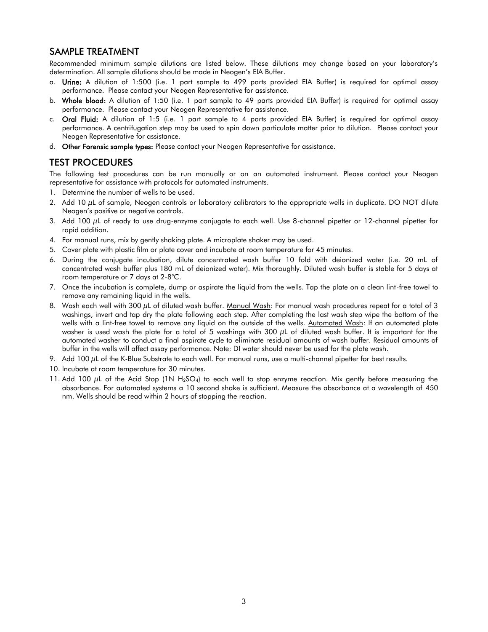### SAMPLE TREATMENT

Recommended minimum sample dilutions are listed below. These dilutions may change based on your laboratory's determination. All sample dilutions should be made in Neogen's EIA Buffer.

- a. Urine: A dilution of 1:500 (i.e. 1 part sample to 499 parts provided EIA Buffer) is required for optimal assay performance. Please contact your Neogen Representative for assistance.
- b. Whole blood: A dilution of 1:50 (i.e. 1 part sample to 49 parts provided EIA Buffer) is required for optimal assay performance. Please contact your Neogen Representative for assistance.
- c. Oral Fluid: A dilution of 1:5 (i.e. 1 part sample to 4 parts provided EIA Buffer) is required for optimal assay performance. A centrifugation step may be used to spin down particulate matter prior to dilution. Please contact your Neogen Representative for assistance.
- d. Other Forensic sample types: Please contact your Neogen Representative for assistance.

#### TEST PROCEDURES

The following test procedures can be run manually or on an automated instrument. Please contact your Neogen representative for assistance with protocols for automated instruments.

- 1. Determine the number of wells to be used.
- 2. Add 10 µL of sample, Neogen controls or laboratory calibrators to the appropriate wells in duplicate. DO NOT dilute Neogen's positive or negative controls.
- 3. Add 100  $\mu$ L of ready to use drug-enzyme conjugate to each well. Use 8-channel pipetter or 12-channel pipetter for rapid addition.
- 4. For manual runs, mix by gently shaking plate. A microplate shaker may be used.
- 5. Cover plate with plastic film or plate cover and incubate at room temperature for 45 minutes.
- 6. During the conjugate incubation, dilute concentrated wash buffer 10 fold with deionized water (i.e. 20 mL of concentrated wash buffer plus 180 mL of deionized water). Mix thoroughly. Diluted wash buffer is stable for 5 days at room temperature or 7 days at 2-8°C.
- 7. Once the incubation is complete, dump or aspirate the liquid from the wells. Tap the plate on a clean lint-free towel to remove any remaining liquid in the wells.
- 8. Wash each well with 300  $\mu$ L of diluted wash buffer. Manual Wash: For manual wash procedures repeat for a total of 3 washings, invert and tap dry the plate following each step. After completing the last wash step wipe the bottom of the wells with a lint-free towel to remove any liquid on the outside of the wells. Automated Wash: If an automated plate washer is used wash the plate for a total of 5 washings with 300 µL of diluted wash buffer. It is important for the automated washer to conduct a final aspirate cycle to eliminate residual amounts of wash buffer. Residual amounts of buffer in the wells will affect assay performance. Note: DI water should never be used for the plate wash.
- 9. Add 100  $\mu$ L of the K-Blue Substrate to each well. For manual runs, use a multi-channel pipetter for best results.
- 10. Incubate at room temperature for 30 minutes.
- 11. Add 100  $\mu$ L of the Acid Stop (1N H<sub>2</sub>SO<sub>4</sub>) to each well to stop enzyme reaction. Mix gently before measuring the absorbance. For automated systems a 10 second shake is sufficient. Measure the absorbance at a wavelength of 450 nm. Wells should be read within 2 hours of stopping the reaction.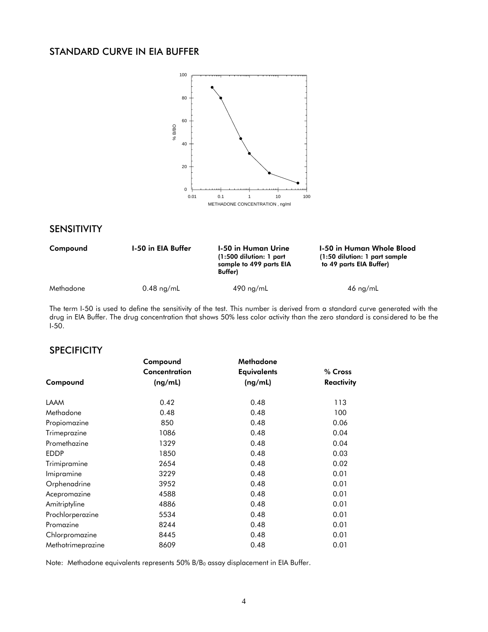### STANDARD CURVE IN EIA BUFFER



### SENSITIVITY

| Compound  | <b>1-50 in EIA Buffer</b> | 1-50 in Human Urine<br>$(1:500$ dilution: 1 part<br>sample to 499 parts EIA<br><b>Buffer</b> ) | 1-50 in Human Whole Blood<br>(1:50 dilution: 1 part sample)<br>to 49 parts EIA Buffer) |
|-----------|---------------------------|------------------------------------------------------------------------------------------------|----------------------------------------------------------------------------------------|
| Methadone | $0.48$ ng/mL              | $490$ ng/mL                                                                                    | $46 \text{ ng/mL}$                                                                     |

The term I-50 is used to define the sensitivity of the test. This number is derived from a standard curve generated with the drug in EIA Buffer. The drug concentration that shows 50% less color activity than the zero standard is considered to be the  $I-50.$ 

#### **SPECIFICITY**

|                   | Compound      | Methadone          |            |
|-------------------|---------------|--------------------|------------|
|                   | Concentration | <b>Equivalents</b> | % Cross    |
| Compound          | (ng/mL)       | (ng/mL)            | Reactivity |
| <b>LAAM</b>       | 0.42          | 0.48               | 113        |
| Methadone         | 0.48          | 0.48               | 100        |
| Propiomazine      | 850           | 0.48               | 0.06       |
| Trimeprazine      | 1086          | 0.48               | 0.04       |
| Promethazine      | 1329          | 0.48               | 0.04       |
| <b>EDDP</b>       | 1850          | 0.48               | 0.03       |
| Trimipramine      | 2654          | 0.48               | 0.02       |
| Imipramine        | 3229          | 0.48               | 0.01       |
| Orphenadrine      | 3952          | 0.48               | 0.01       |
| Acepromazine      | 4588          | 0.48               | 0.01       |
| Amitriptyline     | 4886          | 0.48               | 0.01       |
| Prochlorperazine  | 5534          | 0.48               | 0.01       |
| Promazine         | 8244          | 0.48               | 0.01       |
| Chlorpromazine    | 8445          | 0.48               | 0.01       |
| Methotrimeprazine | 8609          | 0.48               | 0.01       |

Note: Methadone equivalents represents 50% B/B<sub>0</sub> assay displacement in EIA Buffer.